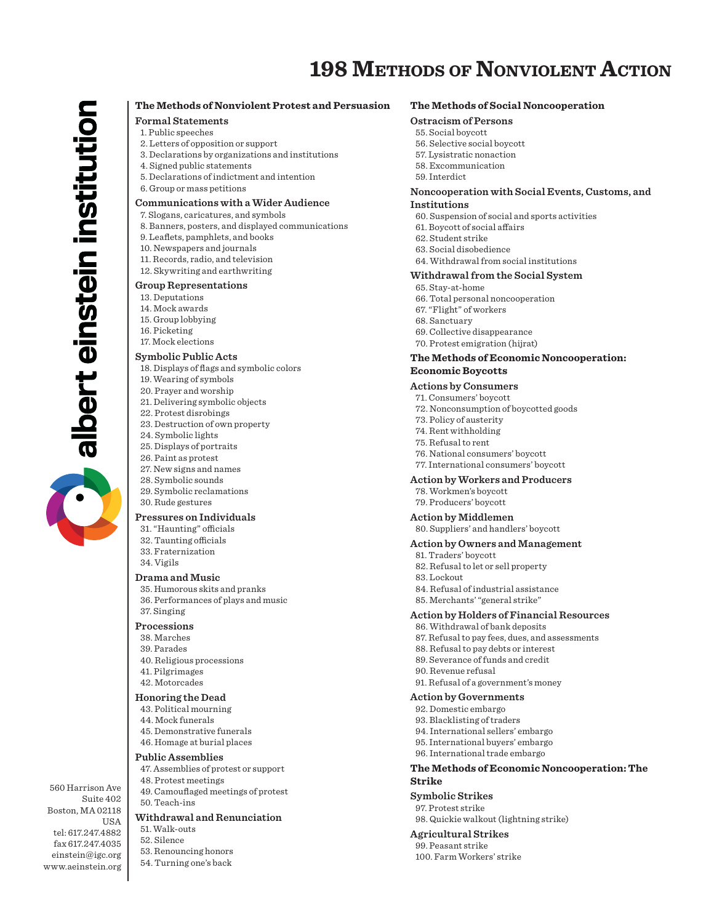# **198 METHODS OF NONVIOLENT ACTION**

# **The Methods of Nonviolent Protest and Persuasion**

# **Formal Statements**

- 1. Public speeches
- 2. Letters of opposition or support
- 3. Declarations by organizations and institutions
- 4. Signed public statements
- 5. Declarations of indictment and intention
- 6. Group or mass petitions

# **Communications with a Wider Audience**

- 7. Slogans, caricatures, and symbols
- 8. Banners, posters, and displayed communications
- 9. Leaflets, pamphlets, and books
- 10. Newspapers and journals
- 11. Records, radio, and television
- 12. Skywriting and earthwriting

#### **Group Representations**

13. Deputations

albert einstein institution

- 14. Mock awards
- 15. Group lobbying
- 16. Picketing
- 17. Mock elections

#### **Symbolic Public Acts**

- 18. Displays of flags and symbolic colors
- 19. Wearing of symbols
- 20. Prayer and worship
- 21. Delivering symbolic objects
- 22. Protest disrobings
- 23. Destruction of own property
- 24. Symbolic lights
- 25. Displays of portraits
- 26. Paint as protest
- 27. New signs and names
- 28. Symbolic sounds
- 29. Symbolic reclamations
- 30. Rude gestures

# **Pressures on Individuals**

- 31. "Haunting" officials
- 32. Taunting officials
- 33. Fraternization
- 34. Vigils

#### **Drama and Music**

- 35. Humorous skits and pranks
- 36. Performances of plays and music
- 37. Singing

# **Processions**

- 38. Marches
- 39. Parades
- 40. Religious processions
- 41. Pilgrimages
- 42. Motorcades

#### **Honoring the Dead**

- 43. Political mourning
- 44. Mock funerals
- 45. Demonstrative funerals
- 46. Homage at burial places

### **Public Assemblies**

- 47. Assemblies of protest or support
- 48. Protest meetings
- 49. Camouflaged meetings of protest 50. Teach-ins

### **Withdrawal and Renunciation**

- 51. Walk-outs
- 52. Silence

560 Harrison Ave Suite 402 Boston, MA 02118

tel: 617.247.4882 fax 617.247.4035 einstein@igc.org www.aeinstein.org

USA

- 53. Renouncing honors
- 54. Turning one's back

# **The Methods of Social Noncooperation**

# **Ostracism of Persons**

- 55. Social boycott
- 56. Selective social boycott
- 57. Lysistratic nonaction
- 58. Excommunication
- 59. Interdict

#### **Noncooperation with Social Events, Customs, and Institutions**

- 60. Suspension of social and sports activities
- 61. Boycott of social affairs
- 62. Student strike
- 63. Social disobedience
- 64. Withdrawal from social institutions

# **Withdrawal from the Social System**

65. Stay-at-home 66. Total personal noncooperation 67. "Flight" of workers 68. Sanctuary 69. Collective disappearance 70. Protest emigration (hijrat)

# **The Methods of Economic Noncooperation: Economic Boycotts**

# **Actions by Consumers**

71. Consumers' boycott 72. Nonconsumption of boycotted goods 73. Policy of austerity 74. Rent withholding 75. Refusal to rent 76. National consumers' boycott 77. International consumers' boycott **Action by Workers and Producers**

- 
- 78. Workmen's boycott 79. Producers' boycott
- **Action by Middlemen**

# 80. Suppliers' and handlers' boycott

#### **Action by Owners and Management**

81. Traders' boycott 82. Refusal to let or sell property 83. Lockout 84. Refusal of industrial assistance 85. Merchants' "general strike"

# **Action by Holders of Financial Resources**

- 86. Withdrawal of bank deposits
- 87. Refusal to pay fees, dues, and assessments
- 88. Refusal to pay debts or interest
- 89. Severance of funds and credit
- 90. Revenue refusal 91. Refusal of a government's money

**Action by Governments** 92. Domestic embargo 93. Blacklisting of traders 94. International sellers' embargo 95. International buyers' embargo 96. International trade embargo

### **The Methods of Economic Noncooperation: The Strike**

**Symbolic Strikes** 97. Protest strike 98. Quickie walkout (lightning strike)

#### **Agricultural Strikes** 99. Peasant strike

100. Farm Workers' strike